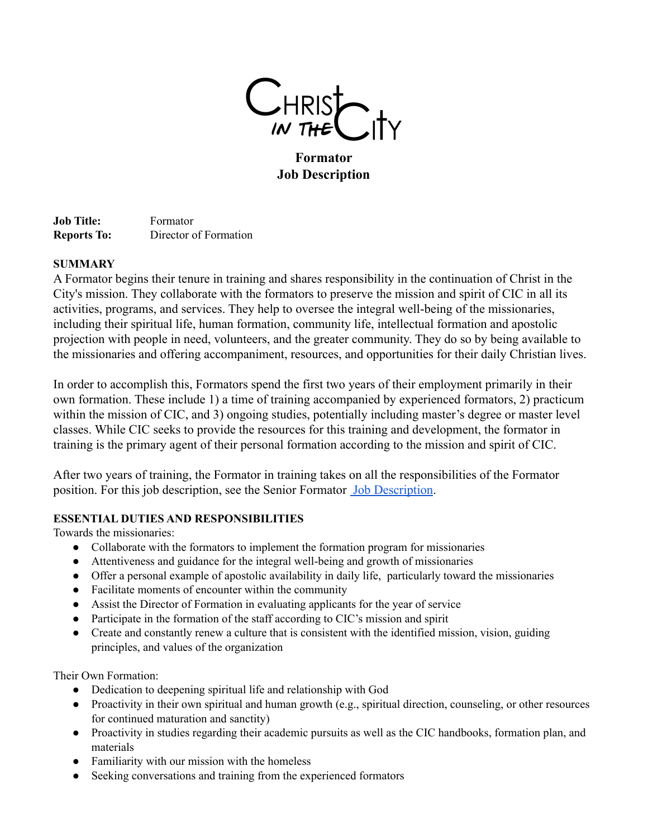

**Formator Job Description**

**Job Title:** Formator **Reports To:** Director of Formation

# **SUMMARY**

A Formator begins their tenure in training and shares responsibility in the continuation of Christ in the City's mission. They collaborate with the formators to preserve the mission and spirit of CIC in all its activities, programs, and services. They help to oversee the integral well-being of the missionaries, including their spiritual life, human formation, community life, intellectual formation and apostolic projection with people in need, volunteers, and the greater community. They do so by being available to the missionaries and offering accompaniment, resources, and opportunities for their daily Christian lives.

In order to accomplish this, Formators spend the first two years of their employment primarily in their own formation. These include 1) a time of training accompanied by experienced formators, 2) practicum within the mission of CIC, and 3) ongoing studies, potentially including master's degree or master level classes. While CIC seeks to provide the resources for this training and development, the formator in training is the primary agent of their personal formation according to the mission and spirit of CIC.

After two years of training, the Formator in training takes on all the responsibilities of the Formator position. For this job description, see the Senior Formator [Job Description](https://christinthecity.org/wp-content/uploads/2022/05/Formator-Job-Description.pdf).

# **ESSENTIAL DUTIES AND RESPONSIBILITIES**

Towards the missionaries:

- Collaborate with the formators to implement the formation program for missionaries
- Attentiveness and guidance for the integral well-being and growth of missionaries
- Offer a personal example of apostolic availability in daily life, particularly toward the missionaries
- Facilitate moments of encounter within the community
- Assist the Director of Formation in evaluating applicants for the year of service
- Participate in the formation of the staff according to CIC's mission and spirit
- Create and constantly renew a culture that is consistent with the identified mission, vision, guiding principles, and values of the organization

Their Own Formation:

- Dedication to deepening spiritual life and relationship with God
- Proactivity in their own spiritual and human growth (e.g., spiritual direction, counseling, or other resources for continued maturation and sanctity)
- Proactivity in studies regarding their academic pursuits as well as the CIC handbooks, formation plan, and materials
- Familiarity with our mission with the homeless
- Seeking conversations and training from the experienced formators